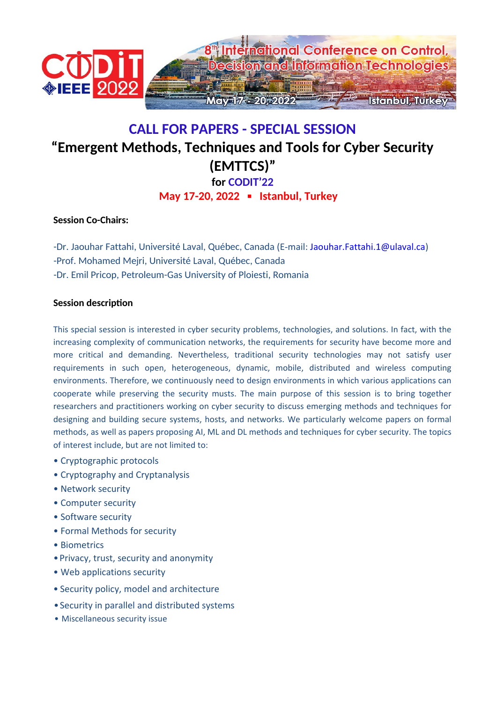

## **CALL FOR PAPERS - SPECIAL SESSION "Emergent Methods, Techniques and Tools for Cyber Security (EMTTCS)" for CODIT'22 May 17-20, 2022 ▪ Istanbul, Turkey**

## **Session Co-Chairs:**

-Dr. Jaouhar Fattahi, Université Laval, Québec, Canada (E-mail: Jaouhar.Fattahi.1@ulaval.ca) -Prof. Mohamed Mejri, Université Laval, Québec, Canada -Dr. Emil Pricop, Petroleum-Gas University of Ploiesti, Romania

## **Session description**

This special session is interested in cyber security problems, technologies, and solutions. In fact, with the increasing complexity of communication networks, the requirements for security have become more and more critical and demanding. Nevertheless, traditional security technologies may not satisfy user requirements in such open, heterogeneous, dynamic, mobile, distributed and wireless computing environments. Therefore, we continuously need to design environments in which various applications can cooperate while preserving the security musts. The main purpose of this session is to bring together researchers and practitioners working on cyber security to discuss emerging methods and techniques for designing and building secure systems, hosts, and networks. We particularly welcome papers on formal methods, as well as papers proposing AI, ML and DL methods and techniques for cyber security. The topics of interest include, but are not limited to:

- Cryptographic protocols
- Cryptography and Cryptanalysis
- Network security
- Computer security
- Software security
- Formal Methods for security
- Biometrics
- •Privacy, trust, security and anonymity
- Web applications security
- Security policy, model and architecture
- •Security in parallel and distributed systems
- Miscellaneous security issue